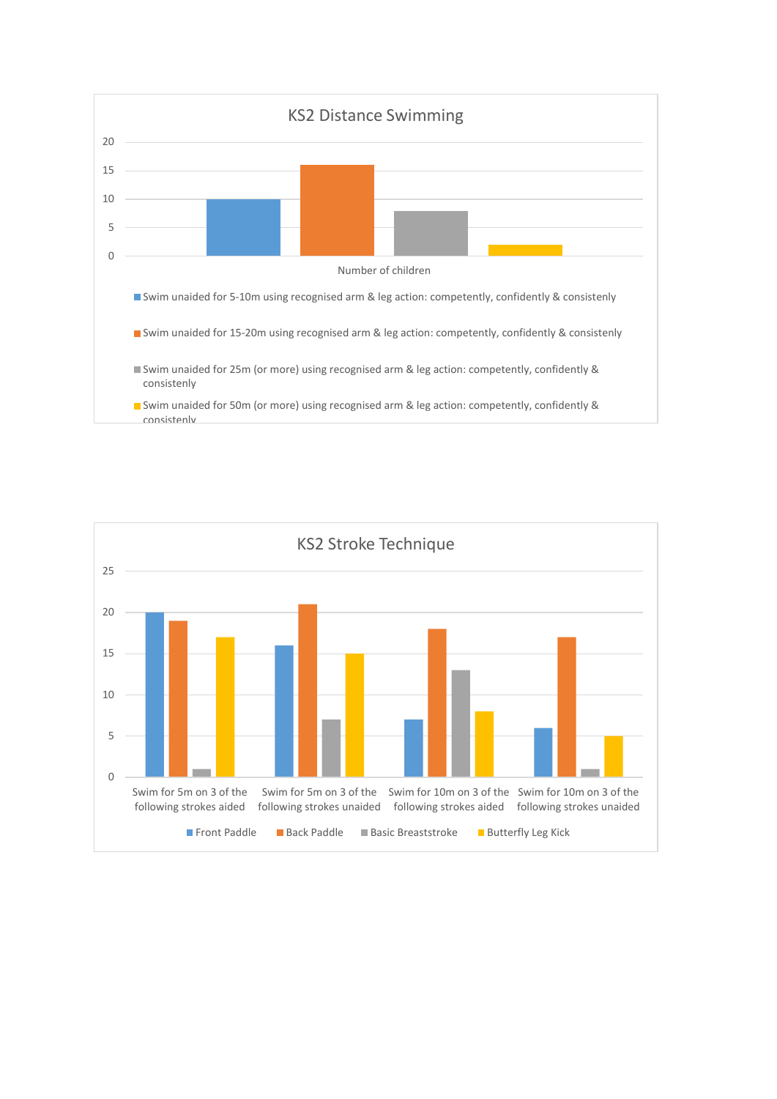

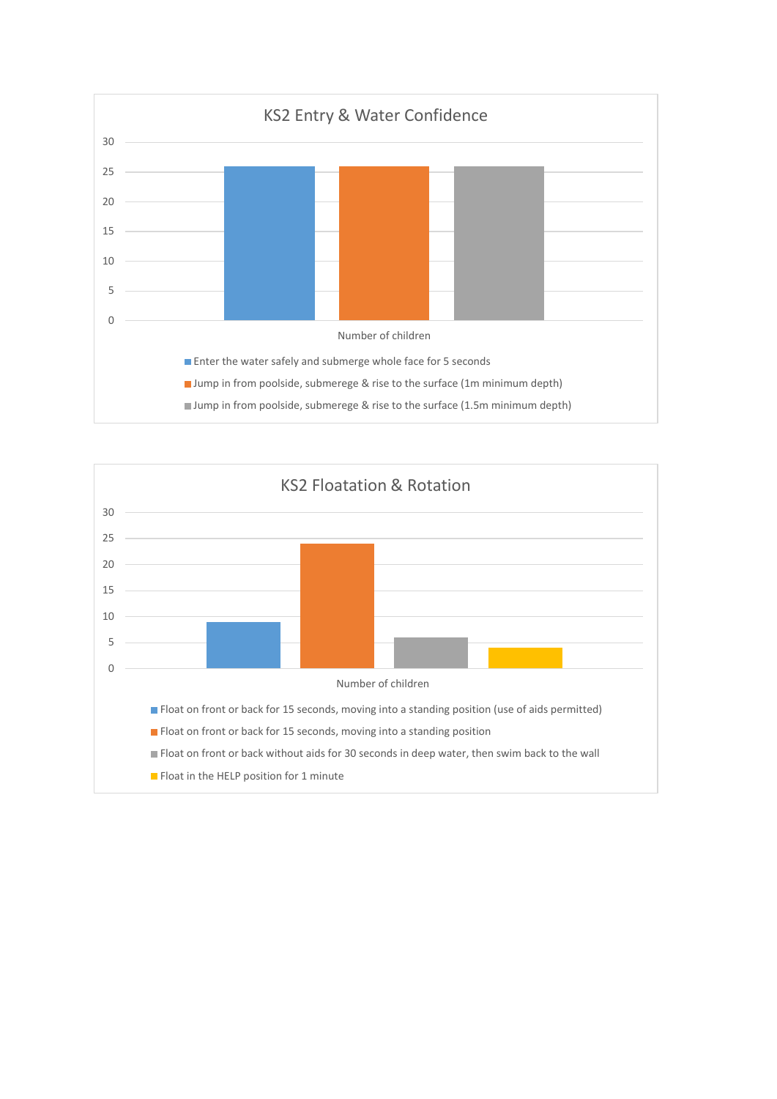